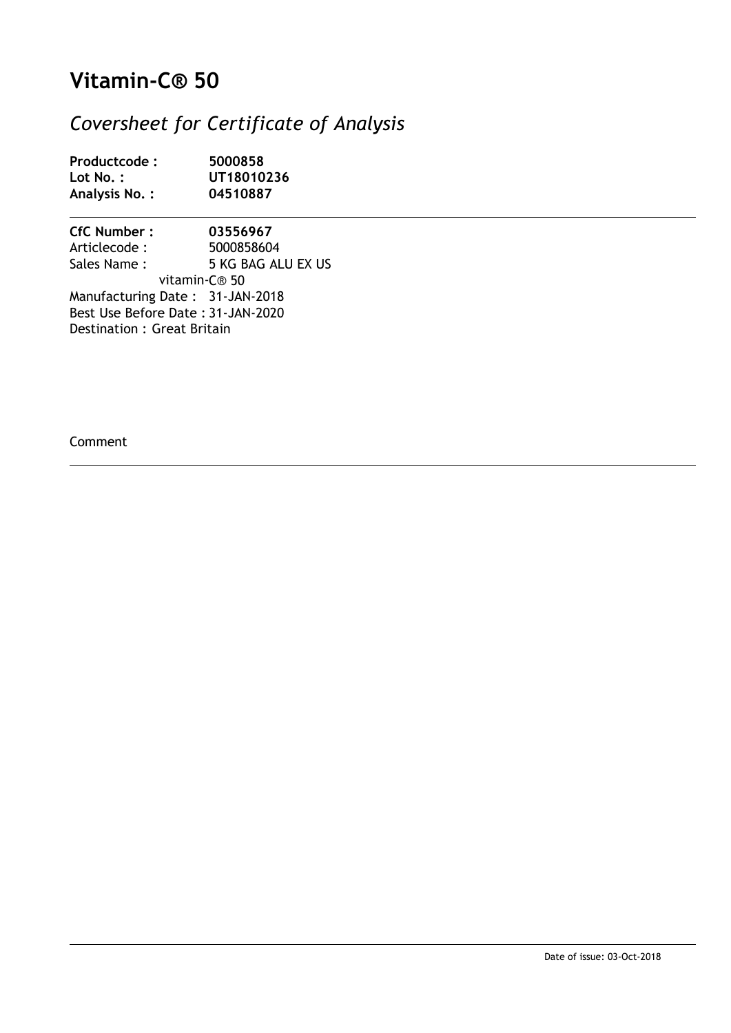## **Vitamin-C® 50**

#### *Coversheet for Certificate of Analysis*

| Productcode:  | 5000858    |
|---------------|------------|
| Lot $No.$ :   | UT18010236 |
| Analysis No.: | 04510887   |

**CfC Number : 03556967** Articlecode : 5000858604<br>
Sales Name : 5 KG BAG AL 5 KG BAG ALU EX US vitamin-C® 50 Manufacturing Date : 31-JAN-2018 Best Use Before Date : 31-JAN-2020 Destination : Great Britain

Comment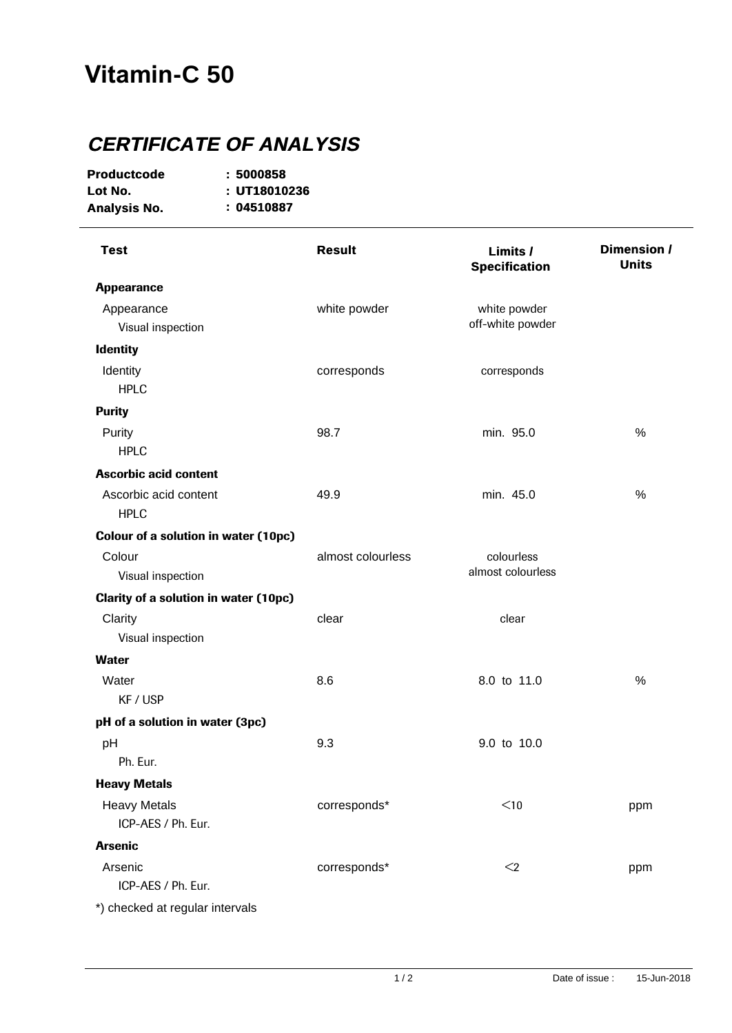# **Vitamin-C 50**

### **CERTIFICATE OF ANALYSIS**

| <b>Productcode</b> | : 5000858    |
|--------------------|--------------|
| Lot No.            | : UT18010236 |
| Analysis No.       | :04510887    |

| <b>Test</b>                                  | <b>Result</b>     | Limits /<br><b>Specification</b> | Dimension /<br><b>Units</b> |
|----------------------------------------------|-------------------|----------------------------------|-----------------------------|
| <b>Appearance</b>                            |                   |                                  |                             |
| Appearance                                   | white powder      | white powder                     |                             |
| Visual inspection                            |                   | off-white powder                 |                             |
| <b>Identity</b>                              |                   |                                  |                             |
| Identity                                     | corresponds       | corresponds                      |                             |
| <b>HPLC</b>                                  |                   |                                  |                             |
| <b>Purity</b>                                |                   |                                  |                             |
| Purity                                       | 98.7              | min. 95.0                        | $\%$                        |
| <b>HPLC</b>                                  |                   |                                  |                             |
| <b>Ascorbic acid content</b>                 |                   |                                  |                             |
| Ascorbic acid content                        | 49.9              | min. 45.0                        | %                           |
| <b>HPLC</b>                                  |                   |                                  |                             |
| <b>Colour of a solution in water (10pc)</b>  |                   |                                  |                             |
| Colour                                       | almost colourless | colourless                       |                             |
| Visual inspection                            |                   | almost colourless                |                             |
| <b>Clarity of a solution in water (10pc)</b> |                   |                                  |                             |
| Clarity                                      | clear             | clear                            |                             |
| Visual inspection                            |                   |                                  |                             |
| <b>Water</b>                                 |                   |                                  |                             |
| Water                                        | 8.6               | 8.0 to 11.0                      | %                           |
| KF / USP                                     |                   |                                  |                             |
| pH of a solution in water (3pc)              |                   |                                  |                             |
| pH                                           | 9.3               | 9.0 to 10.0                      |                             |
| Ph. Eur.                                     |                   |                                  |                             |
| <b>Heavy Metals</b>                          |                   |                                  |                             |
| <b>Heavy Metals</b>                          | corresponds*      | $<$ 10                           | ppm                         |
| ICP-AES / Ph. Eur.                           |                   |                                  |                             |
| <b>Arsenic</b>                               |                   |                                  |                             |
| Arsenic                                      | corresponds*      | $\leq$                           | ppm                         |
| ICP-AES / Ph. Eur.                           |                   |                                  |                             |
| *) checked at regular intervals              |                   |                                  |                             |